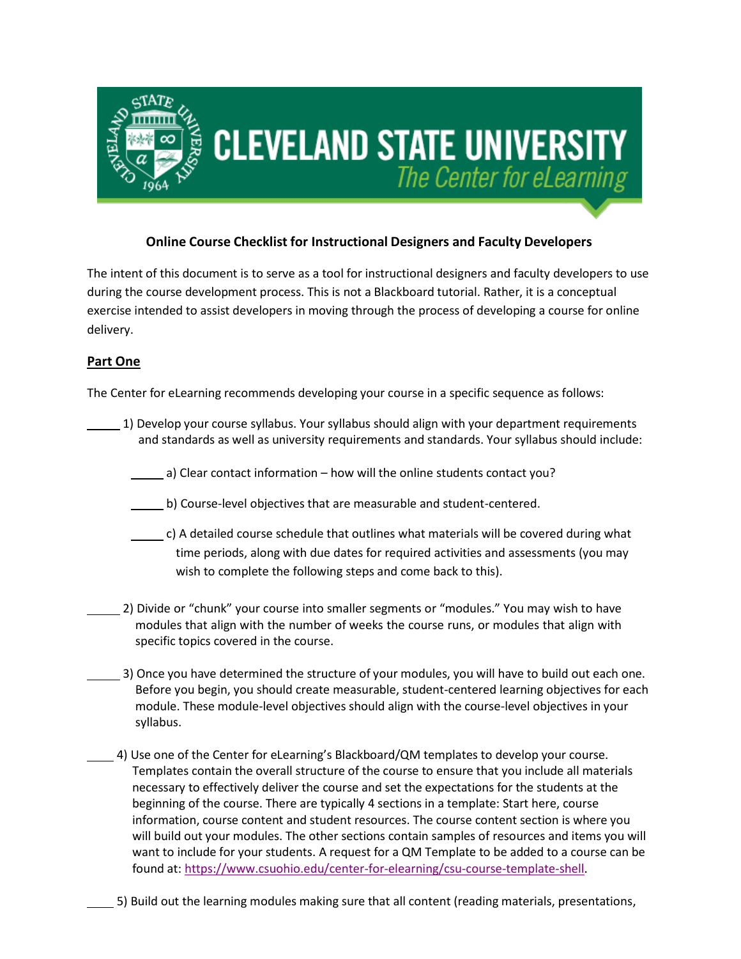

# **Online Course Checklist for Instructional Designers and Faculty Developers**

The intent of this document is to serve as a tool for instructional designers and faculty developers to use during the course development process. This is not a Blackboard tutorial. Rather, it is a conceptual exercise intended to assist developers in moving through the process of developing a course for online delivery.

## **Part One**

The Center for eLearning recommends developing your course in a specific sequence as follows:

- 1) Develop your course syllabus. Your syllabus should align with your department requirements and standards as well as university requirements and standards. Your syllabus should include:
	- a) Clear contact information how will the online students contact you?
	- b) Course-level objectives that are measurable and student-centered.
	- c) A detailed course schedule that outlines what materials will be covered during what time periods, along with due dates for required activities and assessments (you may wish to complete the following steps and come back to this).
- 2) Divide or "chunk" your course into smaller segments or "modules." You may wish to have modules that align with the number of weeks the course runs, or modules that align with specific topics covered in the course.
	- 3) Once you have determined the structure of your modules, you will have to build out each one. Before you begin, you should create measurable, student-centered learning objectives for each module. These module-level objectives should align with the course-level objectives in your syllabus.
	- 4) Use one of the Center for eLearning's Blackboard/QM templates to develop your course. Templates contain the overall structure of the course to ensure that you include all materials necessary to effectively deliver the course and set the expectations for the students at the beginning of the course. There are typically 4 sections in a template: Start here, course information, course content and student resources. The course content section is where you will build out your modules. The other sections contain samples of resources and items you will want to include for your students. A request for a QM Template to be added to a course can be found at[: https://www.csuohio.edu/center-for-elearning/csu-course-template-shell.](https://www.csuohio.edu/center-for-elearning/csu-course-template-shell)
		- 5) Build out the learning modules making sure that all content (reading materials, presentations,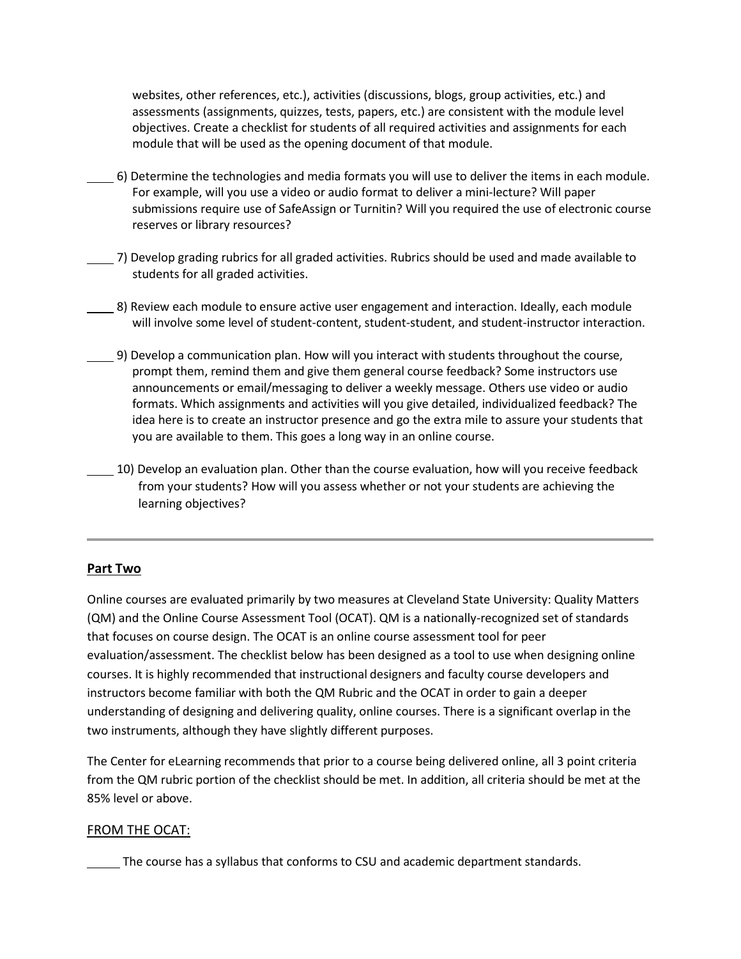websites, other references, etc.), activities (discussions, blogs, group activities, etc.) and assessments (assignments, quizzes, tests, papers, etc.) are consistent with the module level objectives. Create a checklist for students of all required activities and assignments for each module that will be used as the opening document of that module.

- 6) Determine the technologies and media formats you will use to deliver the items in each module. For example, will you use a video or audio format to deliver a mini-lecture? Will paper submissions require use of SafeAssign or Turnitin? Will you required the use of electronic course reserves or library resources?
- 7) Develop grading rubrics for all graded activities. Rubrics should be used and made available to students for all graded activities.
- 8) Review each module to ensure active user engagement and interaction. Ideally, each module will involve some level of student-content, student-student, and student-instructor interaction.
- 9) Develop a communication plan. How will you interact with students throughout the course, prompt them, remind them and give them general course feedback? Some instructors use announcements or email/messaging to deliver a weekly message. Others use video or audio formats. Which assignments and activities will you give detailed, individualized feedback? The idea here is to create an instructor presence and go the extra mile to assure your students that you are available to them. This goes a long way in an online course.
- 10) Develop an evaluation plan. Other than the course evaluation, how will you receive feedback from your students? How will you assess whether or not your students are achieving the learning objectives?

## **Part Two**

Online courses are evaluated primarily by two measures at Cleveland State University: Quality Matters (QM) and the Online Course Assessment Tool (OCAT). QM is a nationally-recognized set of standards that focuses on course design. The OCAT is an online course assessment tool for peer evaluation/assessment. The checklist below has been designed as a tool to use when designing online courses. It is highly recommended that instructional designers and faculty course developers and instructors become familiar with both the QM Rubric and the OCAT in order to gain a deeper understanding of designing and delivering quality, online courses. There is a significant overlap in the two instruments, although they have slightly different purposes.

The Center for eLearning recommends that prior to a course being delivered online, all 3 point criteria from the QM rubric portion of the checklist should be met. In addition, all criteria should be met at the 85% level or above.

#### FROM THE OCAT:

The course has a syllabus that conforms to CSU and academic department standards.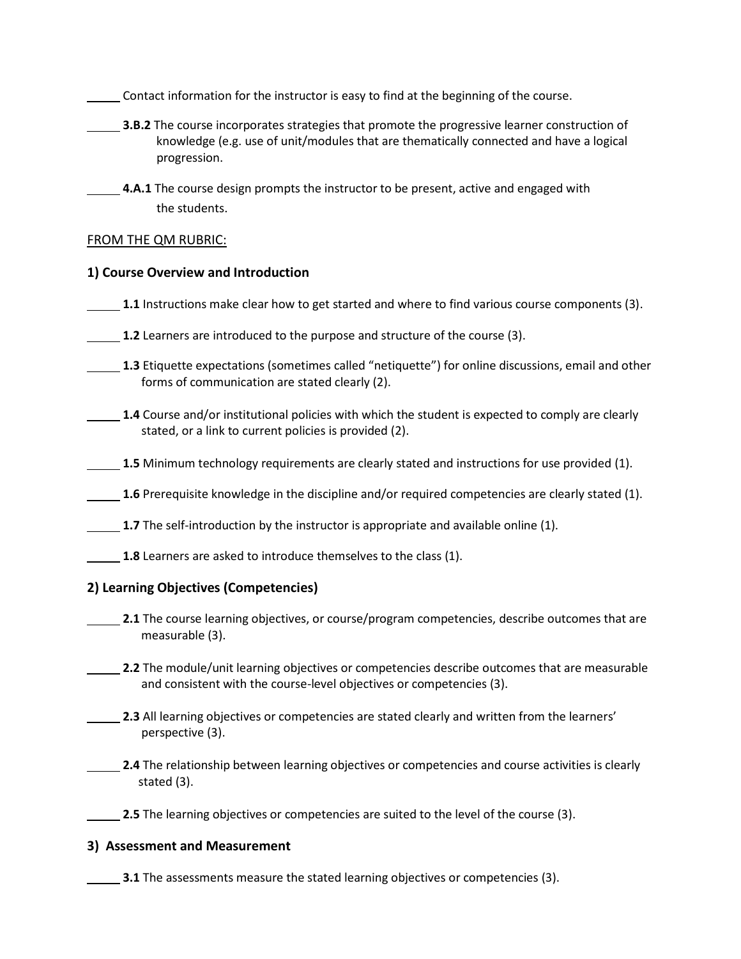Contact information for the instructor is easy to find at the beginning of the course.

- **3.B.2** The course incorporates strategies that promote the progressive learner construction of knowledge (e.g. use of unit/modules that are thematically connected and have a logical progression.
	- **4.A.1** The course design prompts the instructor to be present, active and engaged with the students.

### FROM THE QM RUBRIC:

## **1) Course Overview and Introduction**

- **1.1** Instructions make clear how to get started and where to find various course components (3).
- **1.2** Learners are introduced to the purpose and structure of the course (3).
- **1.3** Etiquette expectations (sometimes called "netiquette") for online discussions, email and other forms of communication are stated clearly (2).
	- **1.4** Course and/or institutional policies with which the student is expected to comply are clearly stated, or a link to current policies is provided (2).
- 1.5 Minimum technology requirements are clearly stated and instructions for use provided (1).
- **1.6** Prerequisite knowledge in the discipline and/or required competencies are clearly stated (1).
- **1.7** The self-introduction by the instructor is appropriate and available online (1).
- **1.8** Learners are asked to introduce themselves to the class (1).

## **2) Learning Objectives (Competencies)**

- **2.1** The course learning objectives, or course/program competencies, describe outcomes that are measurable (3).
- **2.2** The module/unit learning objectives or competencies describe outcomes that are measurable and consistent with the course-level objectives or competencies (3).
- **2.3** All learning objectives or competencies are stated clearly and written from the learners' perspective (3).
- **2.4** The relationship between learning objectives or competencies and course activities is clearly stated (3).

**2.5** The learning objectives or competencies are suited to the level of the course (3).

#### **3) Assessment and Measurement**

**3.1** The assessments measure the stated learning objectives or competencies (3).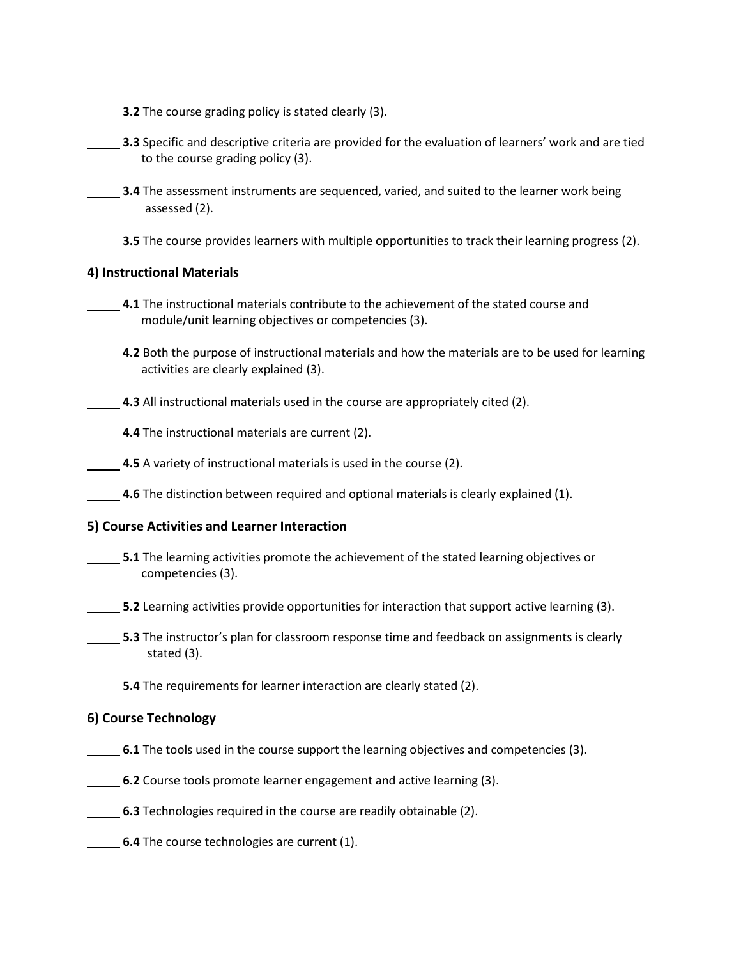**3.2** The course grading policy is stated clearly (3).

**3.3** Specific and descriptive criteria are provided for the evaluation of learners' work and are tied to the course grading policy (3).

**3.4** The assessment instruments are sequenced, varied, and suited to the learner work being assessed (2).

**3.5** The course provides learners with multiple opportunities to track their learning progress (2).

## **4) Instructional Materials**

**4.1** The instructional materials contribute to the achievement of the stated course and module/unit learning objectives or competencies (3).

**4.2** Both the purpose of instructional materials and how the materials are to be used for learning activities are clearly explained (3).

**4.3** All instructional materials used in the course are appropriately cited (2).

**4.4** The instructional materials are current (2).

**4.5** A variety of instructional materials is used in the course (2).

**4.6** The distinction between required and optional materials is clearly explained (1).

## **5) Course Activities and Learner Interaction**

**5.1** The learning activities promote the achievement of the stated learning objectives or competencies (3).

**5.2** Learning activities provide opportunities for interaction that support active learning (3).

**5.3** The instructor's plan for classroom response time and feedback on assignments is clearly stated (3).

**5.4** The requirements for learner interaction are clearly stated (2).

## **6) Course Technology**

- **6.1** The tools used in the course support the learning objectives and competencies (3).
- **6.2** Course tools promote learner engagement and active learning (3).
- **6.3** Technologies required in the course are readily obtainable (2).
- **6.4** The course technologies are current (1).